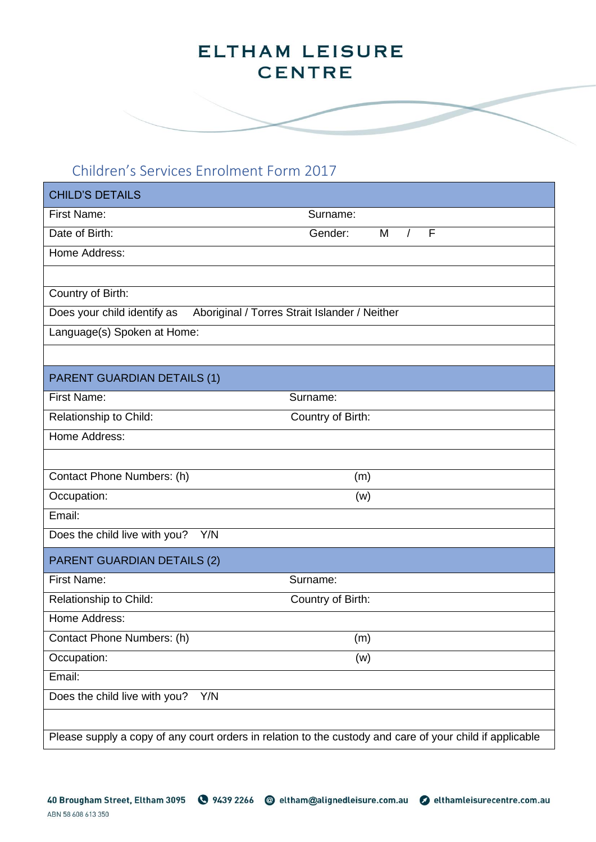#### Children's Services Enrolment Form 2017

| <b>CHILD'S DETAILS</b>                                                       |                                                                                                          |  |  |  |
|------------------------------------------------------------------------------|----------------------------------------------------------------------------------------------------------|--|--|--|
| <b>First Name:</b>                                                           | Surname:                                                                                                 |  |  |  |
| Date of Birth:                                                               | F<br>M<br>$\sqrt{ }$<br>Gender:                                                                          |  |  |  |
| Home Address:                                                                |                                                                                                          |  |  |  |
|                                                                              |                                                                                                          |  |  |  |
| Country of Birth:                                                            |                                                                                                          |  |  |  |
| Does your child identify as<br>Aboriginal / Torres Strait Islander / Neither |                                                                                                          |  |  |  |
| Language(s) Spoken at Home:                                                  |                                                                                                          |  |  |  |
|                                                                              |                                                                                                          |  |  |  |
| <b>PARENT GUARDIAN DETAILS (1)</b>                                           |                                                                                                          |  |  |  |
| <b>First Name:</b>                                                           | Surname:                                                                                                 |  |  |  |
| Relationship to Child:                                                       | Country of Birth:                                                                                        |  |  |  |
| Home Address:                                                                |                                                                                                          |  |  |  |
|                                                                              |                                                                                                          |  |  |  |
| Contact Phone Numbers: (h)                                                   | (m)                                                                                                      |  |  |  |
| Occupation:                                                                  | (w)                                                                                                      |  |  |  |
| Email:                                                                       |                                                                                                          |  |  |  |
| Does the child live with you?<br>Y/N                                         |                                                                                                          |  |  |  |
| <b>PARENT GUARDIAN DETAILS (2)</b>                                           |                                                                                                          |  |  |  |
| <b>First Name:</b>                                                           | Surname:                                                                                                 |  |  |  |
| Relationship to Child:                                                       | Country of Birth:                                                                                        |  |  |  |
| Home Address:                                                                |                                                                                                          |  |  |  |
| Contact Phone Numbers: (h)                                                   | (m)                                                                                                      |  |  |  |
| Occupation:                                                                  | (w)                                                                                                      |  |  |  |
| Email:                                                                       |                                                                                                          |  |  |  |
| Does the child live with you?<br>Y/N                                         |                                                                                                          |  |  |  |
|                                                                              |                                                                                                          |  |  |  |
|                                                                              | Please supply a copy of any court orders in relation to the custody and care of your child if applicable |  |  |  |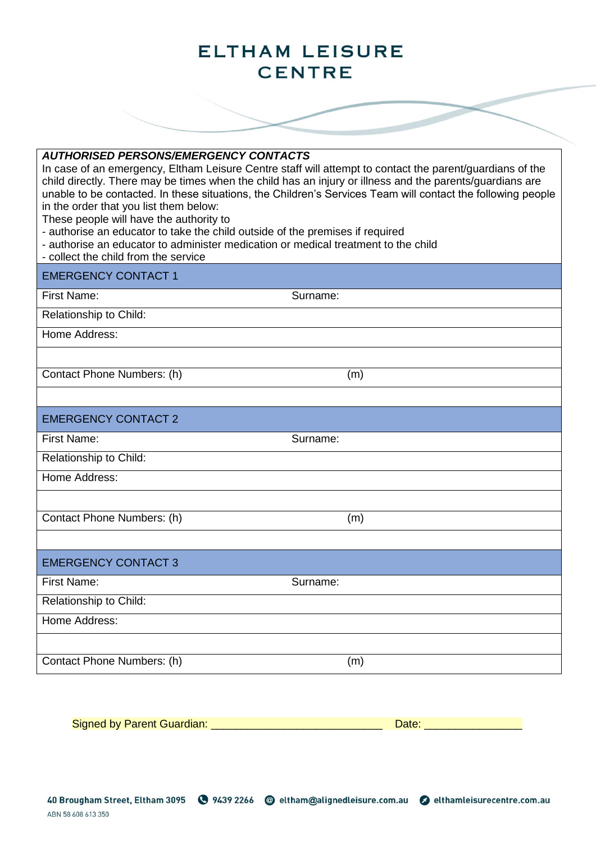

| טוטגושבו דעמאנשווען <i>וטו</i> ועסויט<br>in the order that you list them below:<br>These people will have the authority to<br>- authorise an educator to take the child outside of the premises if required<br>- authorise an educator to administer medication or medical treatment to the child<br>- collect the child from the service | In case of an emergency, Eltham Leisure Centre staff will attempt to contact the parent/guardians of the<br>child directly. There may be times when the child has an injury or illness and the parents/guardians are<br>unable to be contacted. In these situations, the Children's Services Team will contact the following people |
|-------------------------------------------------------------------------------------------------------------------------------------------------------------------------------------------------------------------------------------------------------------------------------------------------------------------------------------------|-------------------------------------------------------------------------------------------------------------------------------------------------------------------------------------------------------------------------------------------------------------------------------------------------------------------------------------|
| <b>EMERGENCY CONTACT 1</b>                                                                                                                                                                                                                                                                                                                |                                                                                                                                                                                                                                                                                                                                     |
| <b>First Name:</b>                                                                                                                                                                                                                                                                                                                        | Surname:                                                                                                                                                                                                                                                                                                                            |
| Relationship to Child:                                                                                                                                                                                                                                                                                                                    |                                                                                                                                                                                                                                                                                                                                     |
| Home Address:                                                                                                                                                                                                                                                                                                                             |                                                                                                                                                                                                                                                                                                                                     |
|                                                                                                                                                                                                                                                                                                                                           |                                                                                                                                                                                                                                                                                                                                     |
| Contact Phone Numbers: (h)                                                                                                                                                                                                                                                                                                                | (m)                                                                                                                                                                                                                                                                                                                                 |
|                                                                                                                                                                                                                                                                                                                                           |                                                                                                                                                                                                                                                                                                                                     |
| <b>EMERGENCY CONTACT 2</b>                                                                                                                                                                                                                                                                                                                |                                                                                                                                                                                                                                                                                                                                     |
| First Name:                                                                                                                                                                                                                                                                                                                               | Surname:                                                                                                                                                                                                                                                                                                                            |
| Relationship to Child:                                                                                                                                                                                                                                                                                                                    |                                                                                                                                                                                                                                                                                                                                     |
| Home Address:                                                                                                                                                                                                                                                                                                                             |                                                                                                                                                                                                                                                                                                                                     |
|                                                                                                                                                                                                                                                                                                                                           |                                                                                                                                                                                                                                                                                                                                     |
| Contact Phone Numbers: (h)                                                                                                                                                                                                                                                                                                                | (m)                                                                                                                                                                                                                                                                                                                                 |
|                                                                                                                                                                                                                                                                                                                                           |                                                                                                                                                                                                                                                                                                                                     |
| <b>EMERGENCY CONTACT 3</b>                                                                                                                                                                                                                                                                                                                |                                                                                                                                                                                                                                                                                                                                     |
| First Name:                                                                                                                                                                                                                                                                                                                               | Surname:                                                                                                                                                                                                                                                                                                                            |
| Relationship to Child:                                                                                                                                                                                                                                                                                                                    |                                                                                                                                                                                                                                                                                                                                     |
| Home Address:                                                                                                                                                                                                                                                                                                                             |                                                                                                                                                                                                                                                                                                                                     |
|                                                                                                                                                                                                                                                                                                                                           |                                                                                                                                                                                                                                                                                                                                     |
| Contact Phone Numbers: (h)                                                                                                                                                                                                                                                                                                                | (m)                                                                                                                                                                                                                                                                                                                                 |

Signed by Parent Guardian: \_\_\_\_\_\_\_\_\_\_\_\_\_\_\_\_\_\_\_\_\_\_\_\_\_\_\_\_ Date: \_\_\_\_\_\_\_\_\_\_\_\_\_\_\_\_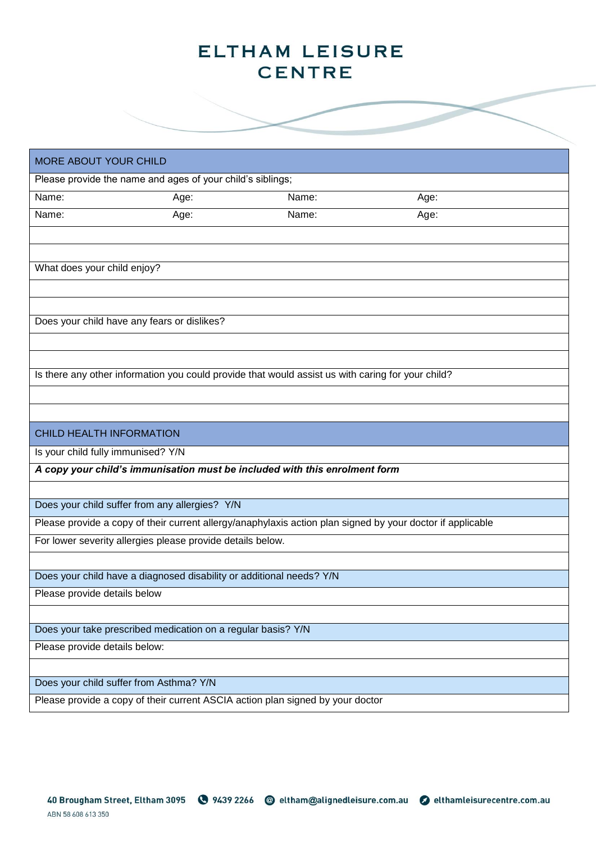| <b>MORE ABOUT YOUR CHILD</b>       |                                                                      |                                                                                                   |                                                                                                            |  |
|------------------------------------|----------------------------------------------------------------------|---------------------------------------------------------------------------------------------------|------------------------------------------------------------------------------------------------------------|--|
|                                    | Please provide the name and ages of your child's siblings;           |                                                                                                   |                                                                                                            |  |
| Name:                              | Age:                                                                 | Name:                                                                                             | Age:                                                                                                       |  |
| Name:                              | Age:                                                                 | Name:                                                                                             | Age:                                                                                                       |  |
|                                    |                                                                      |                                                                                                   |                                                                                                            |  |
|                                    |                                                                      |                                                                                                   |                                                                                                            |  |
| What does your child enjoy?        |                                                                      |                                                                                                   |                                                                                                            |  |
|                                    |                                                                      |                                                                                                   |                                                                                                            |  |
|                                    |                                                                      |                                                                                                   |                                                                                                            |  |
|                                    | Does your child have any fears or dislikes?                          |                                                                                                   |                                                                                                            |  |
|                                    |                                                                      |                                                                                                   |                                                                                                            |  |
|                                    |                                                                      | Is there any other information you could provide that would assist us with caring for your child? |                                                                                                            |  |
|                                    |                                                                      |                                                                                                   |                                                                                                            |  |
|                                    |                                                                      |                                                                                                   |                                                                                                            |  |
| <b>CHILD HEALTH INFORMATION</b>    |                                                                      |                                                                                                   |                                                                                                            |  |
| Is your child fully immunised? Y/N |                                                                      |                                                                                                   |                                                                                                            |  |
|                                    |                                                                      | A copy your child's immunisation must be included with this enrolment form                        |                                                                                                            |  |
|                                    |                                                                      |                                                                                                   |                                                                                                            |  |
|                                    | Does your child suffer from any allergies? Y/N                       |                                                                                                   |                                                                                                            |  |
|                                    |                                                                      |                                                                                                   | Please provide a copy of their current allergy/anaphylaxis action plan signed by your doctor if applicable |  |
|                                    | For lower severity allergies please provide details below.           |                                                                                                   |                                                                                                            |  |
|                                    |                                                                      |                                                                                                   |                                                                                                            |  |
|                                    | Does your child have a diagnosed disability or additional needs? Y/N |                                                                                                   |                                                                                                            |  |
| Please provide details below       |                                                                      |                                                                                                   |                                                                                                            |  |
|                                    |                                                                      |                                                                                                   |                                                                                                            |  |
|                                    | Does your take prescribed medication on a regular basis? Y/N         |                                                                                                   |                                                                                                            |  |
| Please provide details below:      |                                                                      |                                                                                                   |                                                                                                            |  |
|                                    |                                                                      |                                                                                                   |                                                                                                            |  |
|                                    | Does your child suffer from Asthma? Y/N                              | Please provide a copy of their current ASCIA action plan signed by your doctor                    |                                                                                                            |  |
|                                    |                                                                      |                                                                                                   |                                                                                                            |  |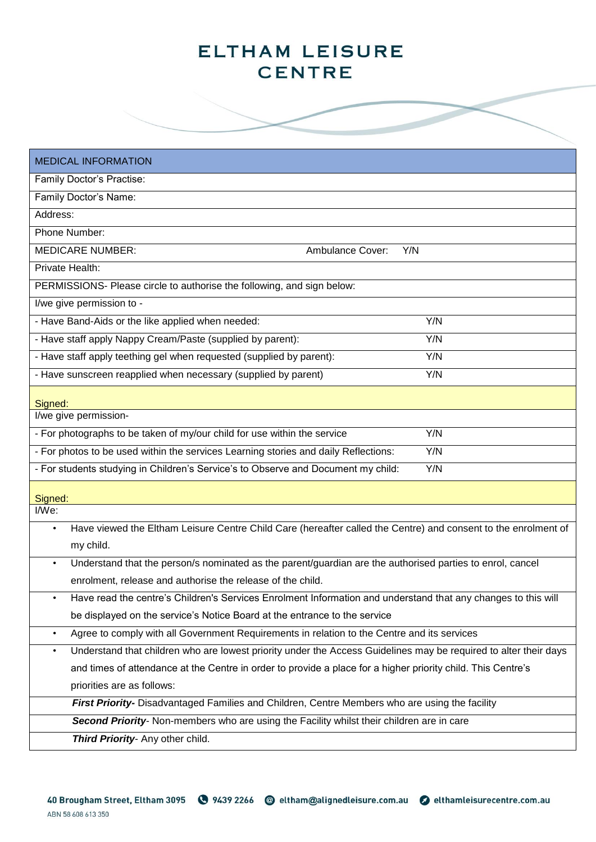**Contract Contract Contract Contract Contract Contract Contract Contract Contract Contract Contract Contract Contract Contract Contract Contract Contract Contract Contract Contract Contract Contract Contract Contract Contr** 

| <b>MEDICAL INFORMATION</b>                                                                                                    |  |  |  |  |
|-------------------------------------------------------------------------------------------------------------------------------|--|--|--|--|
| Family Doctor's Practise:                                                                                                     |  |  |  |  |
| Family Doctor's Name:                                                                                                         |  |  |  |  |
| Address:                                                                                                                      |  |  |  |  |
| Phone Number:                                                                                                                 |  |  |  |  |
| <b>MEDICARE NUMBER:</b><br><b>Ambulance Cover:</b><br>Y/N                                                                     |  |  |  |  |
| Private Health:                                                                                                               |  |  |  |  |
| PERMISSIONS- Please circle to authorise the following, and sign below:                                                        |  |  |  |  |
| I/we give permission to -                                                                                                     |  |  |  |  |
| - Have Band-Aids or the like applied when needed:<br>Y/N                                                                      |  |  |  |  |
| - Have staff apply Nappy Cream/Paste (supplied by parent):<br>Y/N                                                             |  |  |  |  |
| - Have staff apply teething gel when requested (supplied by parent):<br>Y/N                                                   |  |  |  |  |
| - Have sunscreen reapplied when necessary (supplied by parent)<br>Y/N                                                         |  |  |  |  |
| Signed:                                                                                                                       |  |  |  |  |
| I/we give permission-                                                                                                         |  |  |  |  |
| Y/N<br>- For photographs to be taken of my/our child for use within the service                                               |  |  |  |  |
| - For photos to be used within the services Learning stories and daily Reflections:<br>Y/N                                    |  |  |  |  |
| - For students studying in Children's Service's to Observe and Document my child:<br>Y/N                                      |  |  |  |  |
|                                                                                                                               |  |  |  |  |
| Signed:<br>I/We:                                                                                                              |  |  |  |  |
| Have viewed the Eltham Leisure Centre Child Care (hereafter called the Centre) and consent to the enrolment of<br>$\bullet$   |  |  |  |  |
| my child.                                                                                                                     |  |  |  |  |
| Understand that the person/s nominated as the parent/guardian are the authorised parties to enrol, cancel<br>$\bullet$        |  |  |  |  |
| enrolment, release and authorise the release of the child.                                                                    |  |  |  |  |
| Have read the centre's Children's Services Enrolment Information and understand that any changes to this will<br>$\bullet$    |  |  |  |  |
| be displayed on the service's Notice Board at the entrance to the service                                                     |  |  |  |  |
| Agree to comply with all Government Requirements in relation to the Centre and its services<br>$\bullet$                      |  |  |  |  |
| Understand that children who are lowest priority under the Access Guidelines may be required to alter their days<br>$\bullet$ |  |  |  |  |
| and times of attendance at the Centre in order to provide a place for a higher priority child. This Centre's                  |  |  |  |  |
| priorities are as follows:                                                                                                    |  |  |  |  |
| First Priority- Disadvantaged Families and Children, Centre Members who are using the facility                                |  |  |  |  |
| Second Priority- Non-members who are using the Facility whilst their children are in care                                     |  |  |  |  |
| Third Priority- Any other child.                                                                                              |  |  |  |  |